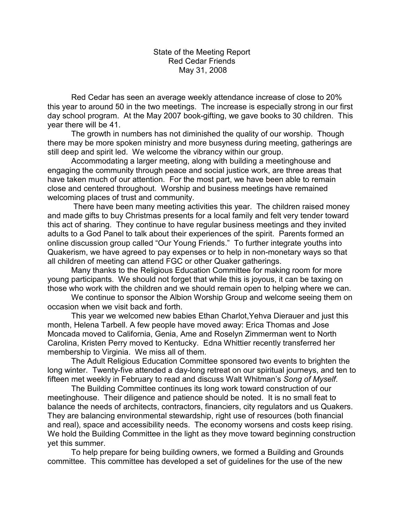State of the Meeting Report Red Cedar Friends May 31, 2008

 Red Cedar has seen an average weekly attendance increase of close to 20% this year to around 50 in the two meetings. The increase is especially strong in our first day school program. At the May 2007 book-gifting, we gave books to 30 children. This year there will be 41.

 The growth in numbers has not diminished the quality of our worship. Though there may be more spoken ministry and more busyness during meeting, gatherings are still deep and spirit led. We welcome the vibrancy within our group.

 Accommodating a larger meeting, along with building a meetinghouse and engaging the community through peace and social justice work, are three areas that have taken much of our attention. For the most part, we have been able to remain close and centered throughout. Worship and business meetings have remained welcoming places of trust and community.

 There have been many meeting activities this year. The children raised money and made gifts to buy Christmas presents for a local family and felt very tender toward this act of sharing. They continue to have regular business meetings and they invited adults to a God Panel to talk about their experiences of the spirit. Parents formed an online discussion group called "Our Young Friends." To further integrate youths into Quakerism, we have agreed to pay expenses or to help in non-monetary ways so that all children of meeting can attend FGC or other Quaker gatherings.

 Many thanks to the Religious Education Committee for making room for more young participants. We should not forget that while this is joyous, it can be taxing on those who work with the children and we should remain open to helping where we can.

 We continue to sponsor the Albion Worship Group and welcome seeing them on occasion when we visit back and forth.

 This year we welcomed new babies Ethan Charlot,Yehva Dierauer and just this month, Helena Tarbell. A few people have moved away: Erica Thomas and Jose Moncada moved to California, Genia, Ame and Roselyn Zimmerman went to North Carolina, Kristen Perry moved to Kentucky. Edna Whittier recently transferred her membership to Virginia. We miss all of them.

 The Adult Religious Education Committee sponsored two events to brighten the long winter. Twenty-five attended a day-long retreat on our spiritual journeys, and ten to fifteen met weekly in February to read and discuss Walt Whitman's *Song of Myself*.

 The Building Committee continues its long work toward construction of our meetinghouse. Their diligence and patience should be noted. It is no small feat to balance the needs of architects, contractors, financiers, city regulators and us Quakers. They are balancing environmental stewardship, right use of resources (both financial and real), space and accessibility needs. The economy worsens and costs keep rising. We hold the Building Committee in the light as they move toward beginning construction yet this summer.

 To help prepare for being building owners, we formed a Building and Grounds committee. This committee has developed a set of guidelines for the use of the new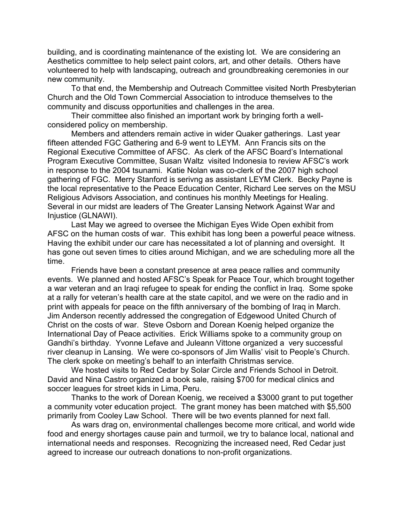building, and is coordinating maintenance of the existing lot. We are considering an Aesthetics committee to help select paint colors, art, and other details. Others have volunteered to help with landscaping, outreach and groundbreaking ceremonies in our new community.

 To that end, the Membership and Outreach Committee visited North Presbyterian Church and the Old Town Commercial Association to introduce themselves to the community and discuss opportunities and challenges in the area.

 Their committee also finished an important work by bringing forth a wellconsidered policy on membership.

 Members and attenders remain active in wider Quaker gatherings. Last year fifteen attended FGC Gathering and 6-9 went to LEYM. Ann Francis sits on the Regional Executive Committee of AFSC. As clerk of the AFSC Board's International Program Executive Committee, Susan Waltz visited Indonesia to review AFSC's work in response to the 2004 tsunami. Katie Nolan was co-clerk of the 2007 high school gathering of FGC. Merry Stanford is serivng as assistant LEYM Clerk. Becky Payne is the local representative to the Peace Education Center, Richard Lee serves on the MSU Religious Advisors Association, and continues his monthly Meetings for Healing. Several in our midst are leaders of The Greater Lansing Network Against War and Injustice (GLNAWI).

 Last May we agreed to oversee the Michigan Eyes Wide Open exhibit from AFSC on the human costs of war. This exhibit has long been a powerful peace witness. Having the exhibit under our care has necessitated a lot of planning and oversight. It has gone out seven times to cities around Michigan, and we are scheduling more all the time.

 Friends have been a constant presence at area peace rallies and community events. We planned and hosted AFSC's Speak for Peace Tour, which brought together a war veteran and an Iraqi refugee to speak for ending the conflict in Iraq. Some spoke at a rally for veteran's health care at the state capitol, and we were on the radio and in print with appeals for peace on the fifth anniversary of the bombing of Iraq in March. Jim Anderson recently addressed the congregation of Edgewood United Church of Christ on the costs of war. Steve Osborn and Dorean Koenig helped organize the International Day of Peace activities. Erick Williams spoke to a community group on Gandhi's birthday. Yvonne Lefave and Juleann Vittone organized a very successful river cleanup in Lansing. We were co-sponsors of Jim Wallis' visit to People's Church. The clerk spoke on meeting's behalf to an interfaith Christmas service.

 We hosted visits to Red Cedar by Solar Circle and Friends School in Detroit. David and Nina Castro organized a book sale, raising \$700 for medical clinics and soccer leagues for street kids in Lima, Peru.

 Thanks to the work of Dorean Koenig, we received a \$3000 grant to put together a community voter education project. The grant money has been matched with \$5,500 primarily from Cooley Law School. There will be two events planned for next fall.

 As wars drag on, environmental challenges become more critical, and world wide food and energy shortages cause pain and turmoil, we try to balance local, national and international needs and responses. Recognizing the increased need, Red Cedar just agreed to increase our outreach donations to non-profit organizations.